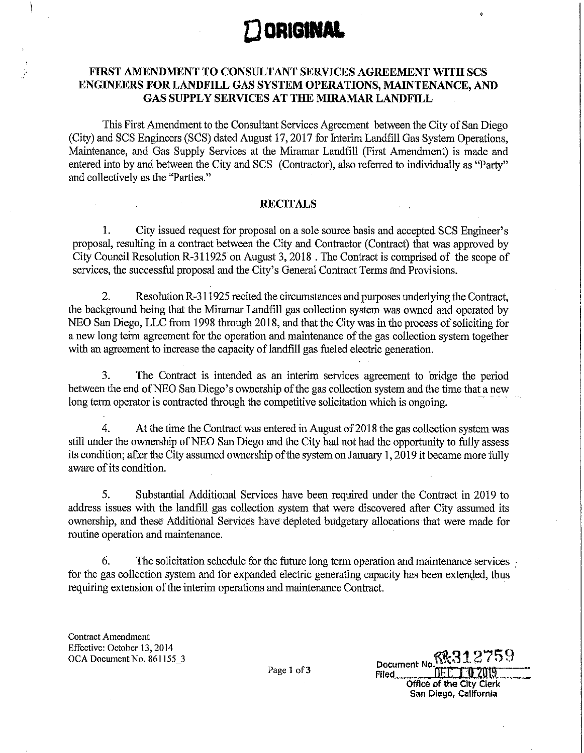

## **FIRST AMENDMENT TO CONSULTANT SERVICES AGREEMENT WITH SCS ENGINEERS FOR LANDFILL GAS SYSTEM OPERATIONS, MAINTENANCE, AND GAS SUPPLY SERVICES AT THE MIRAMAR LANDFILL**

This First Amendment to the Consultant Services Agreement between the City of San Diego (City) and SCS Engineers (SCS) dated August 17, 2017 for Interim Landfill Gas System Operations, Maintenance, and Gas Supply Services at the Miramar Landfill (First Amendment) is made and entered into by and between the City and SCS (Contractor), also referred to individually as "Party" and collectively as the "Parties."

### **RECITALS**

1. City issued request for proposal on a sole source basis and accepted SCS Engineer's proposal, resulting in a contract between the City and Contractor (Contract) that was approved by City Council Resolution R-311925 on August 3, 2018 . The Contract is comprised of the scope of services, the successful proposal and the City's General Contract Terms and Provisions.

2. Resolution R-311925 recited the circumstances and purposes underlying the Contract, the background being that the Miramar Landfill gas collection system was owned and operated by NEO San Diego, LLC from 1998 through 2018, and that the City was in the process of soliciting for a new long term agreement for the operation and maintenance of the gas collection system together with an agreement to increase the capacity of landfill gas fueled electric generation.

3. The Contract is intended as an interim services agreement to bridge the period between the end of NEO San Diego's ownership of the gas collection system and the time that a new long term operator is contracted through the competitive solicitation which is ongoing.

4. At the time the Contract was entered in August of 2018 the gas collection system was still under the ownership of NEO San Diego and the City had not had the opportunity to fully assess its condition; after the City assumed ownership of the system on January 1, 2019 it became more fully aware of its condition.

5. Substantial Additional Services have been required under the Contract in 2019 to address issues with the landfill gas collection system that were discovered after City assumed its ownership, and these Additional Services have depleted budgetary allocations that were made for routine operation and maintenance.

6. The solicitation schedule for the future long term operation and maintenance services : for the gas collection system and for expanded electric generating capacity has been extended, thus requiring extension of the interim operations and maintenance Contract.

Contract Amendment Effective: October 13, 2014 OCA Document No. 861155\_3

| Document No. KK312759    |  |  |  |  |  |  |
|--------------------------|--|--|--|--|--|--|
| $DEC = 02019$<br>Filed   |  |  |  |  |  |  |
| Office of the City Clerk |  |  |  |  |  |  |

San Diego, California

Page 1 of 3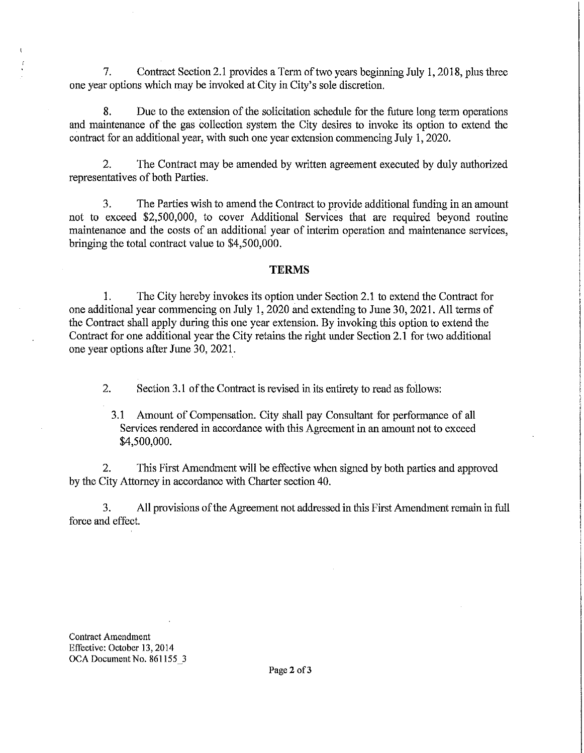7. Contract Section 2.1 provides a Term of two years beginning July 1, 2018, plus three one year options which may be invoked at City in City's sole discretion.

8. Due to the extension of the solicitation schedule for the future long term operations and maintenance of the gas collection system the City desires to invoke its option to extend the contract for an additional year, with such one year extension commencing July 1, 2020.

2. The Contract may be amended by written agreement executed by duly authorized representatives of both Parties.

3. The Parties wish to amend the Contract to provide additional funding in an amount not to exceed \$2,500,000, to cover Additional Services that are required beyond routine maintenance and the costs of an additional year of interim operation and maintenance services, bringing the total contract value to \$4,500,000.

#### **TERMS**

1. The City hereby invokes its option under Section 2.1 to extend the Contract for one additional year commencing on July 1, 2020 and extending to June 30, 2021. All terms of the Contract shall apply during this one year extension. By invoking this option to extend the Contract for one additional year the City retains the right under Section 2.1 for two additional one year options after June 30, 2021.

2. Section 3.1 of the Contract is revised in its entirety to read as follows:

3.1 Amount of Compensation. City shall pay Consultant for performance of all Services rendered in accordance with this Agreement in an amount not to exceed \$4,500,000.

2. This First Amendment will be effective when signed by both parties and approved by the City Attorney in accordance with Charter section 40.

3. All provisions of the Agreement not addressed in this First Amendment remain in full force and effect.

Contract Amendment Effective: October 13, 2014 OCA Document No. 861155\_3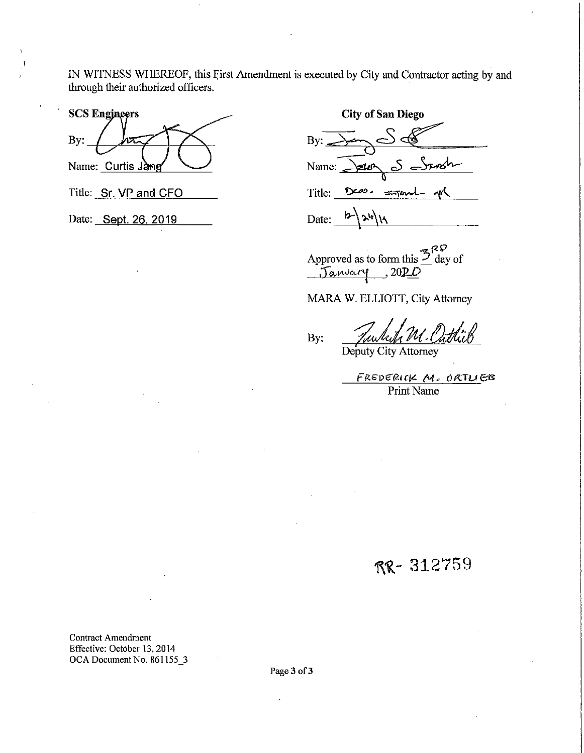IN WITNESS WHEREOF, this First Amendment is executed by City and Contractor acting by and through their authorized officers.

**SCS Engineers** By: Name: Curtis Jang

Title: Sr. VP and CFO

Date: Sept. 26, 2019

**City of San Diego**  By: Name:  $\frac{1}{\sqrt{2\pi}}$   $\frac{1}{\sqrt{2\pi}}$ o<br>Title: Deas - <del>Kyand</del> p  $\text{Date:} \quad \frac{\mathsf{b}-\mathsf{a}}{\mathsf{a}}$ •

 $Z^{RP}$ Approved as to form this  $\angle$  day of Janvary, 20DO

MARA W. ELLIOTT, City Attorney

By: Funkik M. Outlick

Deputy City Attorney

FRSDERICK M. ORTLIEB Print Name

RR- 312759

Contract Amendment Effective: October 13, 2014 OCA Document No. 861155\_3

Page 3 of 3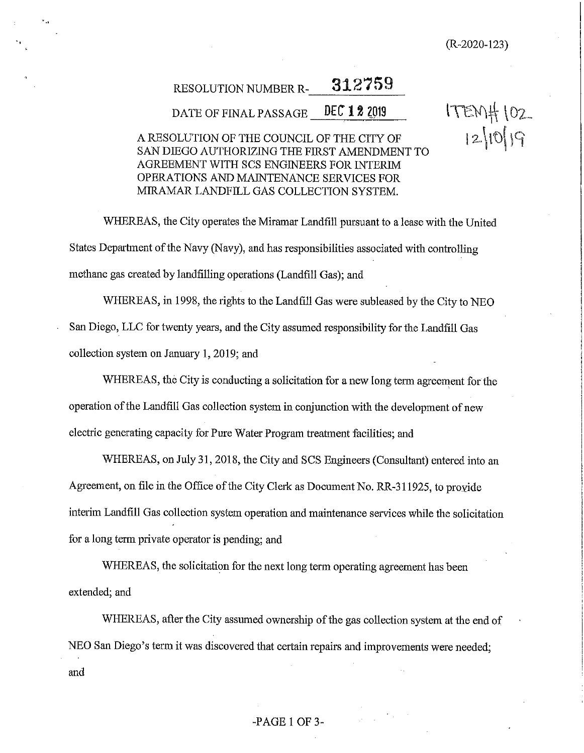(R-2020-123)

 $175M_{+}$   $102$ 

 $12.1019$ 

# RESOLUTION NUMBER **R-\_\_ 3\_1\_2\_7\_5\_9\_.** \_

DATE OF FINAL PASSAGE **DEC 12 2019** 

## A RESOLUTION OF THE COUNCIL OF THE CITY OF SAN DIEGO AUTHORIZING THE FIRST AMENDMENT TO AGREEMENT WITH SCS ENGINEERS FOR INTERIM OPERATIONS AND MAINTENANCE SERVICES FOR MIRAMAR LANDFILL GAS COLLECTION SYSTEM.

WHEREAS, the City operates the Miramar Landfill pursuant to a lease with the United States Department of the Navy (Navy), and has responsibilities associated with controlling methane gas created by landfilling operations (Landfill Gas); and

WHEREAS, in 1998, the rights to the Landfill Gas were subleased by the City to NEO San Diego, LLC for twenty years, and the City assumed responsibility for the Landfill Gas collection system on January **1,** 2019; and

WHEREAS, the City is conducting a solicitation for a new long term agreement for the operation of the Landfill Gas collection system in conjunction with the development of new electric generating capacity for Pure Water Program treatment facilities; and

WHEREAS, on July 31, 2018, the City and SCS Engineers (Consultant) entered into an Agreement, on file in the Office of the City Clerk as Document No. RR-311925, to provide interim Landfill Gas collection system operation and maintenance services while the solicitation for a long term private operator is pending; and

WHEREAS, the solicitation for the next long term operating agreement has been extended; and

WHEREAS, after the City assumed ownership of the gas collection system at the end of NEO San Diego's term it was discovered that certain repairs and improvements were needed; and

### -PAGE **1** OF 3-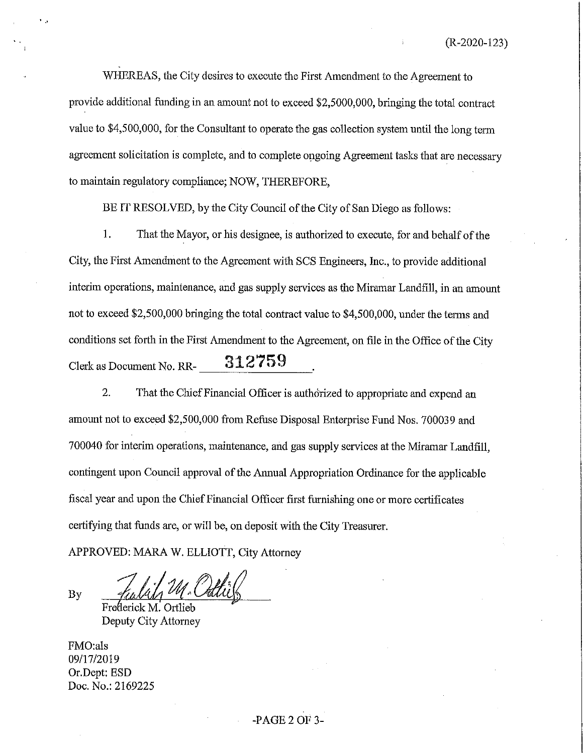WHEREAS, the City desires to execute the First Amendment to the Agreement to provide additional funding in an amount not to exceed \$2,5000,000, bringing the total contract value to \$4,500,000, for the Consultant to operate the gas collection system until the long term agreement solicitation is complete, and to complete ongoing Agreement tasks that are necessary to maintain regulatory compliance; NOW, THEREFORE,

BE IT RESOLVED, by the City Council of the City of San Diego as follows:

1. That the Mayor, or his designee, is authorized to execute, for and behalf of the City, the First Amendment to the Agreement with SCS Engineers, Inc., to provide additional interim operations, maintenance, and gas supply services as the Miramar Landfill, in an amount not to exceed \$2,500,000 bringing the total contract value to \$4,500,000, under the terms and conditions set forth in the First Amendment to the Agreement, on file in the Office of the City Clerk as Document No. RR-<br>**312759** 

2. That the Chief Financial Officer is authorized to appropriate and expend an amount not to exceed \$2,500,000 from Refuse Disposal Enterprise Fund Nos. 700039 and 700040 for interim operations, maintenance, and gas supply services at the Miramar Landfill, contingent upon Council approval of the Annual Appropriation Ordinance for the applicable fiscal year and upon the Chief Financial Officer first furnishing one or more certificates certifying that funds are, or will be, on deposit with the City Treasurer.

APPROVED: MARA W. ELLIOTT, City Attorney

By

Frederick M. Ortlieb Deputy City Attorney

FMO:als 09/17/2019 Or.Dept: BSD Doc. No.: 2169225

### -PAGE 2 OF 3-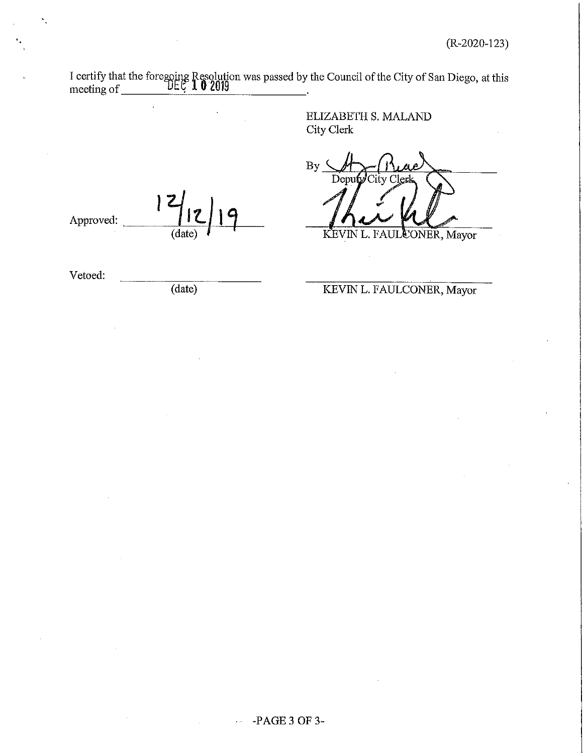| meeting of |        | I certify that the foregoing Resolution was passed by the Council of the City of San Diego, at this meeting of $\bigcup_{n=0}^{\infty} 102019$ |
|------------|--------|------------------------------------------------------------------------------------------------------------------------------------------------|
|            |        | <b>ELIZABETH S. MALAND</b><br>City Clerk                                                                                                       |
|            |        | <b>By</b><br>Deputy City Cler                                                                                                                  |
| Approved:  | (date) | KEVIN L. FAULCONER, Mayor                                                                                                                      |
| Vetoed:    | (date) | KEVIN L. FAULCONER, Mayor                                                                                                                      |
|            |        |                                                                                                                                                |
|            |        |                                                                                                                                                |
|            |        |                                                                                                                                                |
|            |        |                                                                                                                                                |

 $\mathbf{v}_\perp$ 

 $\hat{\mathbf{v}}$  .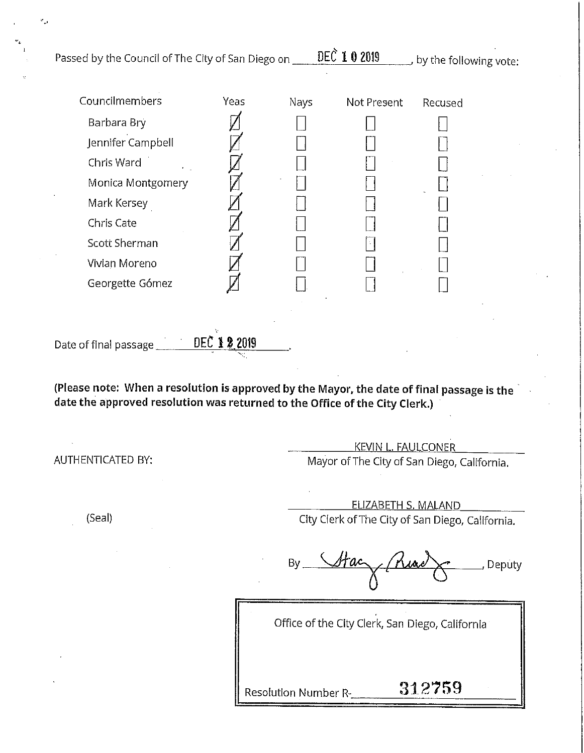| Passed by the Council of The City of San Diego on _                                                                                                                                                                |      |                      | DEC 1 0 2019 | , by the following vote:                                                       |        |  |  |  |  |
|--------------------------------------------------------------------------------------------------------------------------------------------------------------------------------------------------------------------|------|----------------------|--------------|--------------------------------------------------------------------------------|--------|--|--|--|--|
| Councilmembers<br>Barbara Bry<br>Jennifer Campbell<br>Chris Ward<br>Monica Montgomery<br>Mark Kersey<br>Chris Cate<br><b>Scott Sherman</b><br>Vivian Moreno<br>Georgette Gómez                                     | Yeas | Nays                 | Not Present  | Recused                                                                        |        |  |  |  |  |
| DEC 1 2 2019<br>Date of final passage<br>(Please note: When a resolution is approved by the Mayor, the date of final passage is the<br>date the approved resolution was returned to the Office of the City Clerk.) |      |                      |              |                                                                                |        |  |  |  |  |
| AUTHENTICATED BY:                                                                                                                                                                                                  |      |                      |              | <b>KEVIN L. FAULCONER</b><br>Mayor of The City of San Diego, California.       |        |  |  |  |  |
| (Seal)                                                                                                                                                                                                             |      |                      |              | <u>ELIZABETH S. MALAND</u><br>City Clerk of The City of San Diego, California. |        |  |  |  |  |
|                                                                                                                                                                                                                    |      | By                   |              |                                                                                | Deputy |  |  |  |  |
|                                                                                                                                                                                                                    |      | Resolution Number R- |              | Office of the City Clerk, San Diego, California<br>312759                      |        |  |  |  |  |

 $\mathcal{L}^{\pm}$ 

 $\mathcal{L}_{\mathcal{A}}$  $\bar{z}$ 

 $\mathcal{C}_{\mu\nu}$